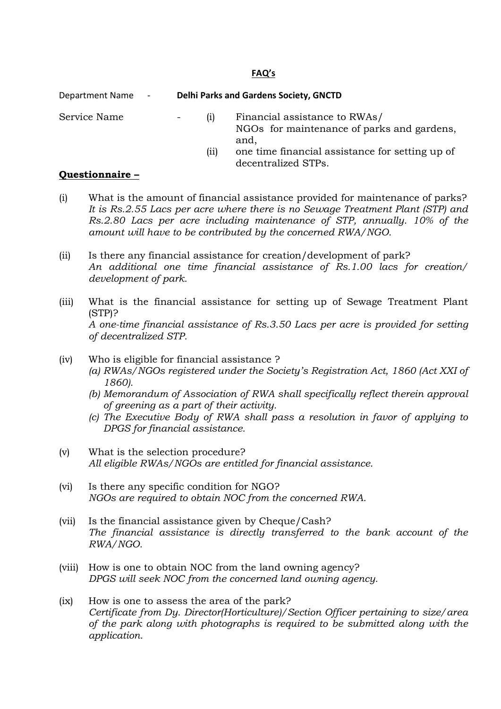## FAQ's

| Department Name<br>$\sim 100$ | <b>Delhi Parks and Gardens Society, GNCTD</b> |                                                                                                                                                               |
|-------------------------------|-----------------------------------------------|---------------------------------------------------------------------------------------------------------------------------------------------------------------|
| Service Name                  | (1)<br>(11)                                   | Financial assistance to RWAs/<br>NGOs for maintenance of parks and gardens,<br>and,<br>one time financial assistance for setting up of<br>decentralized STPs. |

## Questionnaire –

- (i) What is the amount of financial assistance provided for maintenance of parks? It is Rs.2.55 Lacs per acre where there is no Sewage Treatment Plant (STP) and Rs.2.80 Lacs per acre including maintenance of STP, annually. 10% of the amount will have to be contributed by the concerned RWA/NGO.
- (ii) Is there any financial assistance for creation/development of park? An additional one time financial assistance of Rs.1.00 lacs for creation/ development of park.
- (iii) What is the financial assistance for setting up of Sewage Treatment Plant (STP)? A one-time financial assistance of Rs.3.50 Lacs per acre is provided for setting of decentralized STP.
- (iv) Who is eligible for financial assistance ?
	- (a) RWAs/NGOs registered under the Society's Registration Act, 1860 (Act XXI of 1860).
	- (b) Memorandum of Association of RWA shall specifically reflect therein approval of greening as a part of their activity.
	- (c) The Executive Body of RWA shall pass a resolution in favor of applying to DPGS for financial assistance.
- (v) What is the selection procedure? All eligible RWAs/NGOs are entitled for financial assistance.
- (vi) Is there any specific condition for NGO? NGOs are required to obtain NOC from the concerned RWA.
- (vii) Is the financial assistance given by Cheque/Cash? The financial assistance is directly transferred to the bank account of the RWA/NGO.
- (viii) How is one to obtain NOC from the land owning agency? DPGS will seek NOC from the concerned land owning agency.
- (ix) How is one to assess the area of the park? Certificate from Dy. Director(Horticulture)/Section Officer pertaining to size/area of the park along with photographs is required to be submitted along with the application.